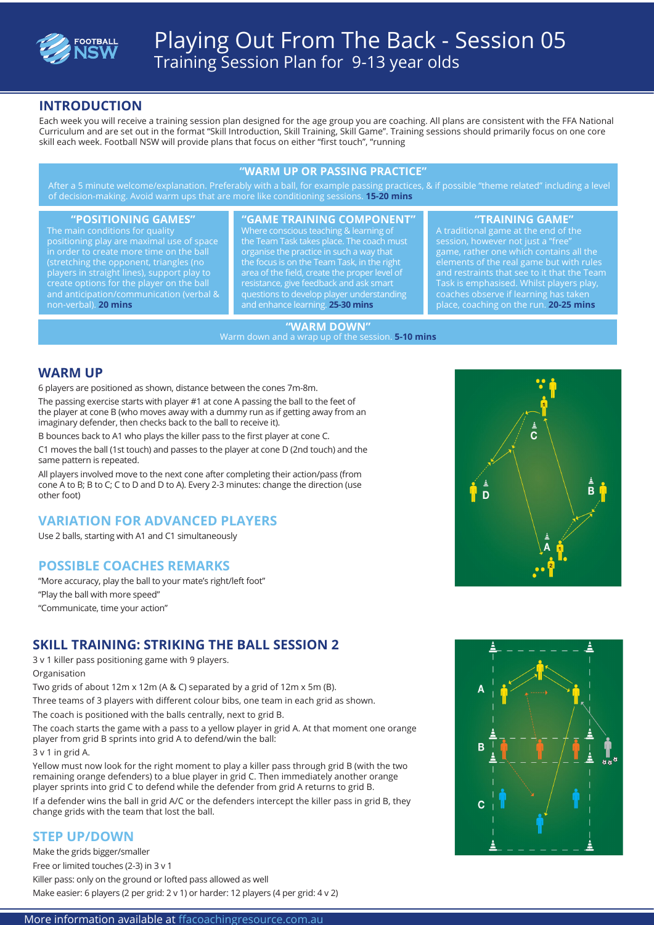

# Playing Out From The Back - Session 05 Training Session Plan for 9-13 year olds

#### **INTRODUCTION**

Each week you will receive a training session plan designed for the age group you are coaching. All plans are consistent with the FFA National Curriculum and are set out in the format "Skill Introduction, Skill Training, Skill Game". Training sessions should primarily focus on one core skill each week. Football NSW will provide plans that focus on either "first touch", "running

#### **"WARM UP OR PASSING PRACTICE"**

After a 5 minute welcome/explanation. Preferably with a ball, for example passing practices, & if possible "theme related" including a level of decision-making. Avoid warm ups that are more like conditioning sessions. **15-20 mins**

positioning play are maximal use of space (stretching the opponent, triangles (no players in straight lines), support play to create options for the player on the ball and anticipation/communication (verbal & non-verbal). **20 mins**

#### **"POSITIONING GAMES" "GAME TRAINING COMPONENT" "TRAINING GAME"**

Where conscious teaching & learning of the Team Task takes place. The coach must organise the practice in such a way that the focus is on the Team Task, in the right resistance, give feedback and ask smart questions to develop player understanding and enhance learning. **25-30 mins**

A traditional game at the end of the session, however not just a "free" game, rather one which contains all the elements of the real game but with rules and restraints that see to it that the Team Task is emphasised. Whilst players play, coaches observe if learning has taken place, coaching on the run. **20-25 mins**

#### **"WARM DOWN"**

Warm down and a wrap up of the session. **5-10 mins**

#### **WARM UP**

6 players are positioned as shown, distance between the cones 7m-8m.

The passing exercise starts with player #1 at cone A passing the ball to the feet of the player at cone B (who moves away with a dummy run as if getting away from an imaginary defender, then checks back to the ball to receive it).

B bounces back to A1 who plays the killer pass to the first player at cone C.

C1 moves the ball (1st touch) and passes to the player at cone D (2nd touch) and the same pattern is repeated.

All players involved move to the next cone after completing their action/pass (from cone A to B; B to C; C to D and D to A). Every 2-3 minutes: change the direction (use other foot)

#### **VARIATION FOR ADVANCED PLAYERS**

Use 2 balls, starting with A1 and C1 simultaneously

### **POSSIBLE COACHES REMARKS**

"More accuracy, play the ball to your mate's right/left foot" "Play the ball with more speed" "Communicate, time your action"

### **SKILL TRAINING: STRIKING THE BALL SESSION 2**

3 v 1 killer pass positioning game with 9 players.

Organisation

Two grids of about 12m x 12m (A & C) separated by a grid of 12m x 5m (B).

Three teams of 3 players with different colour bibs, one team in each grid as shown.

The coach is positioned with the balls centrally, next to grid B.

The coach starts the game with a pass to a yellow player in grid A. At that moment one orange player from grid B sprints into grid A to defend/win the ball:

3 v 1 in grid A.

Yellow must now look for the right moment to play a killer pass through grid B (with the two remaining orange defenders) to a blue player in grid C. Then immediately another orange player sprints into grid C to defend while the defender from grid A returns to grid B. If a defender wins the ball in grid A/C or the defenders intercept the killer pass in grid B, they change grids with the team that lost the ball.

### **STEP UP/DOWN**

Make the grids bigger/smaller

Free or limited touches (2-3) in 3 v 1

Killer pass: only on the ground or lofted pass allowed as well

Make easier: 6 players (2 per grid: 2 v 1) or harder: 12 players (4 per grid: 4 v 2)